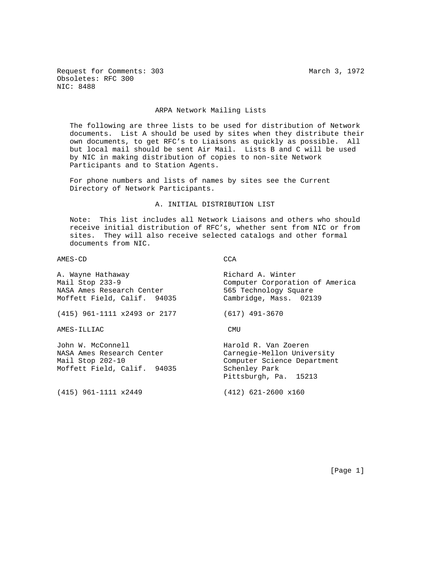Request for Comments: 303 March 3, 1972 Obsoletes: RFC 300 NIC: 8488

### ARPA Network Mailing Lists

 The following are three lists to be used for distribution of Network documents. List A should be used by sites when they distribute their own documents, to get RFC's to Liaisons as quickly as possible. All but local mail should be sent Air Mail. Lists B and C will be used by NIC in making distribution of copies to non-site Network Participants and to Station Agents.

 For phone numbers and lists of names by sites see the Current Directory of Network Participants.

A. INITIAL DISTRIBUTION LIST

 Note: This list includes all Network Liaisons and others who should receive initial distribution of RFC's, whether sent from NIC or from sites. They will also receive selected catalogs and other formal documents from NIC.

### AMES-CD CCA

A. Wayne Hathaway **Richard A. Winter** Mail Stop 233-9 Computer Corporation of America NASA Ames Research Center 565 Technology Square Moffett Field, Calif. 94035 Cambridge, Mass. 02139 (415) 961-1111 x2493 or 2177 (617) 491-3670 AMES-ILLIAC CMU John W. McConnell Harold R. Van Zoeren

NASA Ames Research Center Carnegie-Mellon University Mail Stop 202-10 Computer Science Department Moffett Field, Calif. 94035 Schenley Park

(415) 961-1111 x2449 (412) 621-2600 x160

Pittsburgh, Pa. 15213

[Page 1]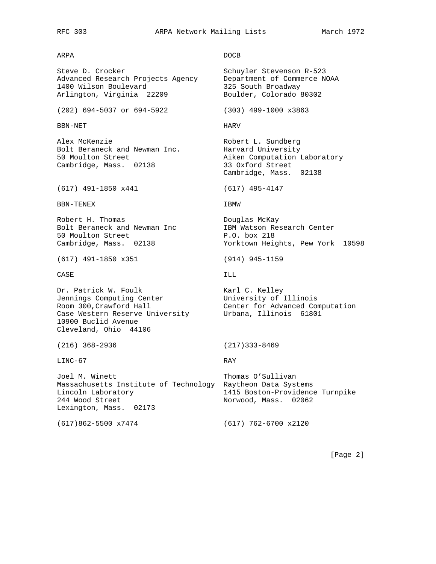RFC 303 ARPA Network Mailing Lists March 1972

ARPA DOCB

Steve D. Crocker Stevenson R-523 Advanced Research Projects Agency and Department of Commerce NOAA<br>1400 Wilson Boulevard 235 South Broadway 1400 Wilson Boulevard 325 South Broadway Arlington, Virginia 22209 Boulder, Colorado 80302

(202) 694-5037 or 694-5922 (303) 499-1000 x3863

BBN-NET HARV

Alex McKenzie **Robert L. Sundberg** Bolt Beraneck and Newman Inc. **Harvard University** 50 Moulton Street **Aiken** Computation Laboratory Cambridge, Mass. 02138 33 Oxford Street

(617) 491-1850 x441 (617) 495-4147

BBN-TENEX 18MW

Robert H. Thomas **Example 2** Douglas McKay Bolt Beraneck and Newman Inc IBM Watson Research Center 50 Moulton Street P.O. box 218

(617) 491-1850 x351 (914) 945-1159

 $\overline{CASE}$  is a contract of the contract of the contract of the contract of the contract of the contract of the contract of the contract of the contract of the contract of the contract of the contract of the contract of th

Dr. Patrick W. Foulk No. 1998 - Karl C. Kelley Jennings Computing Center **University of Illinois** Room 300,Crawford Hall Center for Advanced Computation Case Western Reserve University Urbana, Illinois 61801 10900 Buclid Avenue Cleveland, Ohio 44106

LINC-67 RAY

Joel M. Winett Thomas O'Sullivan Massachusetts Institute of Technology Raytheon Data Systems Lincoln Laboratory 1415 Boston-Providence Turnpike 244 Wood Street Norwood, Mass. 02062 Lexington, Mass. 02173

Cambridge, Mass. 02138

Cambridge, Mass. 02138 Yorktown Heights, Pew York 10598

(216) 368-2936 (217)333-8469

(617)862-5500 x7474 (617) 762-6700 x2120

[Page 2]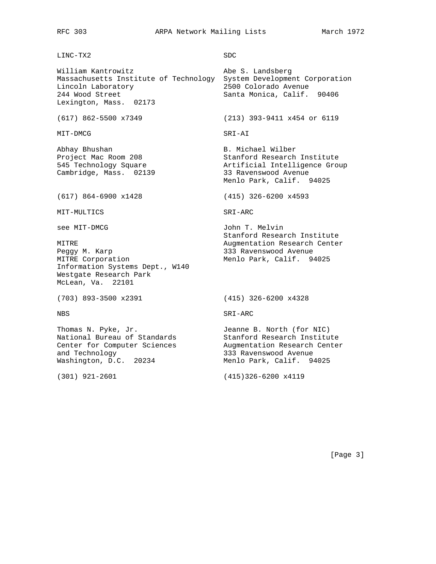# LINC-TX2 SDC

William Kantrowitz **Abe S. Landsberg** Massachusetts Institute of Technology System Development Corporation Lincoln Laboratory 2500 Colorado Avenue 244 Wood Street Santa Monica, Calif. 90406 Lexington, Mass. 02173

MIT-DMCG SRI-AI

Abhay Bhushan B. Michael Wilber Cambridge, Mass. 02139 33 Ravenswood Avenue

(617) 864-6900 x1428 (415) 326-6200 x4593

MIT-MULTICS SRI-ARC

Peggy M. Karp 333 Ravenswood Avenue MITRE Corporation and Menlo Park, Calif. 94025 Information Systems Dept., W140 Westgate Research Park McLean, Va. 22101

(703) 893-3500 x2391 (415) 326-6200 x4328

Thomas N. Pyke, Jr. Jeanne B. North (for NIC) National Bureau of Standards Stanford Research Institute Center for Computer Sciences Augmentation Research Center and Technology 333 Ravenswood Avenue Washington, D.C. 20234 Menlo Park, Calif. 94025

(617) 862-5500 x7349 (213) 393-9411 x454 or 6119

Project Mac Room 208 Stanford Research Institute 545 Technology Square Artificial Intelligence Group Menlo Park, Calif. 94025

see MIT-DMCG and John T. Melvin Stanford Research Institute MITRE **Augmentation Research Center** Augmentation Research Center

NBS SRI-ARC

(301) 921-2601 (415)326-6200 x4119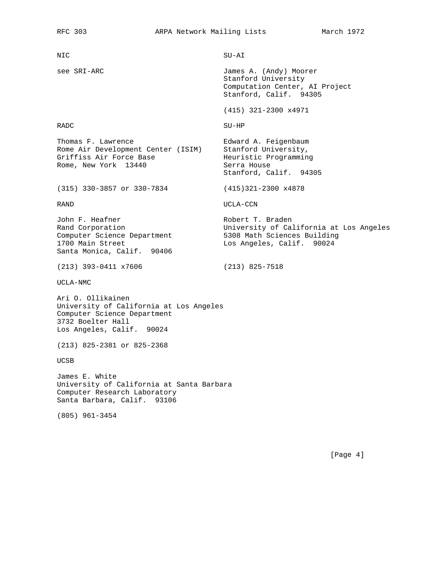NIC SU-AI see SRI-ARC James A. (Andy) Moorer Stanford University Computation Center, AI Project Stanford, Calif. 94305 (415) 321-2300 x4971

Stanford, Calif. 94305

 $\begin{minipage}{.4\linewidth} \texttt{RADC} \end{minipage}$ 

Thomas F. Lawrence Edward A. Feigenbaum Rome Air Development Center (ISIM) Stanford University, Griffiss Air Force Base **Heuristic Programming** Rome, New York 13440 **Serra House** 

(315) 330-3857 or 330-7834 (415)321-2300 x4878

RAND UCLA-CCN

John F. Heafner Nobert T. Braden Rand Corporation University of California at Los Angeles Computer Science Department 5308 Math Sciences Building 1700 Main Street Los Angeles, Calif. 90024 Santa Monica, Calif. 90406

(213) 393-0411 x7606 (213) 825-7518

UCLA-NMC

Ari O. Ollikainen University of California at Los Angeles Computer Science Department 3732 Boelter Hall Los Angeles, Calif. 90024

(213) 825-2381 or 825-2368

UCSB

James E. White University of California at Santa Barbara Computer Research Laboratory Santa Barbara, Calif. 93106

(805) 961-3454

[Page 4]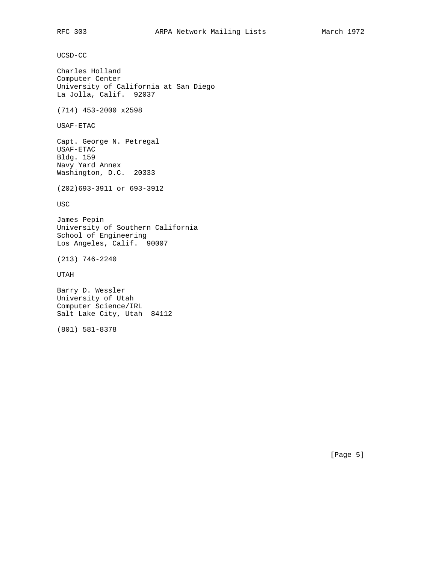UCSD-CC

Charles Holland Computer Center University of California at San Diego La Jolla, Calif. 92037

(714) 453-2000 x2598

USAF-ETAC

Capt. George N. Petregal USAF-ETAC Bldg. 159 Navy Yard Annex Washington, D.C. 20333

(202)693-3911 or 693-3912

USC

James Pepin University of Southern California School of Engineering Los Angeles, Calif. 90007

(213) 746-2240

UTAH

Barry D. Wessler University of Utah Computer Science/IRL Salt Lake City, Utah 84112

(801) 581-8378

[Page 5]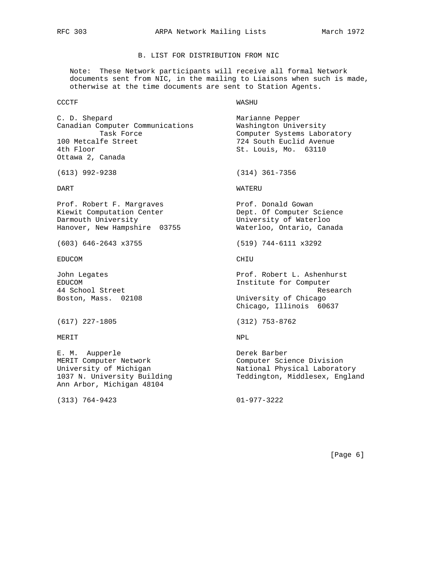# B. LIST FOR DISTRIBUTION FROM NIC

 Note: These Network participants will receive all formal Network documents sent from NIC, in the mailing to Liaisons when such is made, otherwise at the time documents are sent to Station Agents.

### CCCTF WASHU

C. D. Shepard Marianne Pepper Canadian Computer Communications Washington University 100 Metcalfe Street 100 Metcalfe Street 100 Metcalfe Street 124 South Euclid Avenue<br>100 Metcalfe Street 100 Metcal68 St. Louis, Mo. 63110 Ottawa 2, Canada

Prof. Robert F. Margraves entitled a prof. Donald Gowan Kiewit Computation Center The Science Dept. Of Computer Science Darmouth University University of Waterloo Hanover, New Hampshire 03755 Waterloo, Ontario, Canada

EDUCOM CHIU

(617) 227-1805 (312) 753-8762

### MERIT NPL

E. M. Aupperle Derek Barber MERIT Computer Network Computer Science Division Ann Arbor, Michigan 48104

(313) 764-9423 01-977-3222

Task Force **Computer Systems Laboratory** St. Louis, Mo. 63110

(613) 992-9238 (314) 361-7356

DART WATERU

(603) 646-2643 x3755 (519) 744-6111 x3292

John Legates Prof. Robert L. Ashenhurst EDUCOM **Institute for Computer** 44 School Street Research Boston, Mass. 02108 University of Chicago Chicago, Illinois 60637

University of Michigan National Physical Laboratory 1037 N. University Building Teddington, Middlesex, England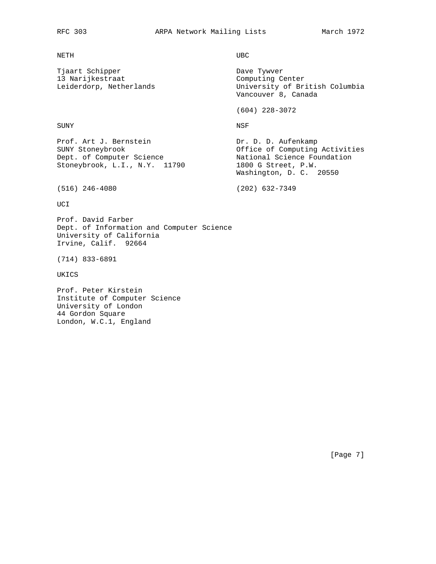### NETH UBC

Tjaart Schipper Dave Tywver 13 Narijkestraat (Computing Center Leiderdorp, Netherlands (Computing Center Leiderdorp, Netherlands (Computing Center Leiderdorp)

University of British Columbia Vancouver 8, Canada

(604) 228-3072

SUNY NSF

Prof. Art J. Bernstein Dr. D. D. Aufenkamp<br>SUNY Stoneybrook Discussion Office of Computing Activities SUNY Stoneybrook Office of Computing Activities Dept. of Computer Science National Science Foundation Stoneybrook, L.I., N.Y. 11790 1800 G Street, P.W. Washington, D. C. 20550

(516) 246-4080 (202) 632-7349

UCI

Prof. David Farber Dept. of Information and Computer Science University of California Irvine, Calif. 92664

(714) 833-6891

UKICS

Prof. Peter Kirstein Institute of Computer Science University of London 44 Gordon Square London, W.C.1, England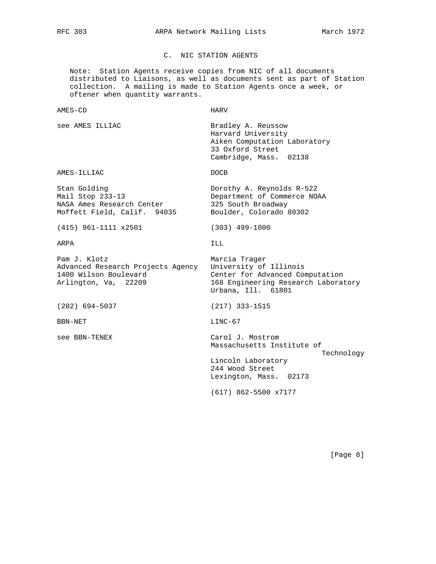C. NIC STATION AGENTS

 Note: Station Agents receive copies from NIC of all documents distributed to Liaisons, as well as documents sent as part of Station collection. A mailing is made to Station Agents once a week, or oftener when quantity warrants.

| AMES-CD | <b>HARV</b> |
|---------|-------------|
|---------|-------------|

see AMES ILLIAC **Bradley A. Reussow** 

 Harvard University Aiken Computation Laboratory 33 Oxford Street Cambridge, Mass. 02138

AMES-ILLIAC DOCB

Stan Golding Dorothy A. Reynolds R-522 Mail Stop 233-13 Department of Commerce NOAA NASA Ames Research Center 325 South Broadway Moffett Field, Calif. 94035 Boulder, Colorado 80302

(415) 961-1111 x2501 (303) 499-1000

ARPA ILL

Pam J. Klotz **Marcia** Trager Advanced Research Projects Agency University of Illinois<br>1400 Wilson Boulevard (Center for Advanced Computation 1400 Wilson Boulevard

(202) 694-5037 (217) 333-1515

BBN-NET LINC-67

Arlington, Va, 22209 168 Engineering Research Laboratory Urbana, Ill. 61801

see BBN-TENEX Carol J. Mostrom Massachusetts Institute of

> Lincoln Laboratory 244 Wood Street Lexington, Mass. 02173

(617) 862-5500 x7177

[Page 8]

Technology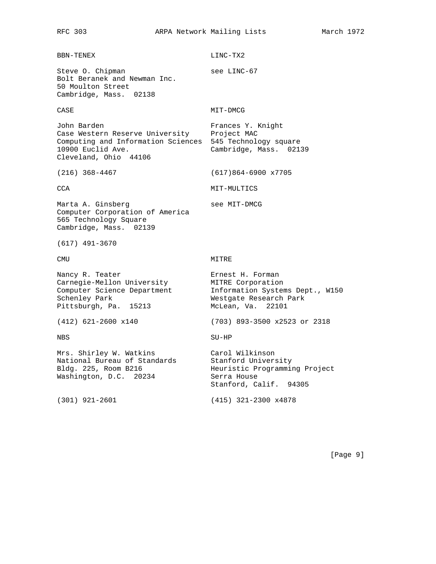# BBN-TENEX LINC-TX2 Steve 0. Chipman see LINC-67 Bolt Beranek and Newman Inc. 50 Moulton Street Cambridge, Mass. 02138 CASE MIT-DMCG John Barden **Frances Y. Knight** Case Western Reserve University Project MAC Computing and Information Sciences 545 Technology square<br>10900 Euclid Ave. (Cambridge, Mass. 021 Cambridge, Mass. 02139 Cleveland, Ohio 44106 (216) 368-4467 (617)864-6900 x7705 CCA MIT-MULTICS Marta A. Ginsberg see MIT-DMCG Computer Corporation of America 565 Technology Square Cambridge, Mass. 02139 (617) 491-3670 CMU MITRE Nancy R. Teater **Example 2018** Ernest H. Forman Carnegie-Mellon University MITRE Corporation Computer Science Department Information Systems Dept., W150 Schenley Park **Westgate Research Park** Pittsburgh, Pa. 15213 McLean, Va. 22101 (412) 621-2600 x140 (703) 893-3500 x2523 or 2318 NBS SU-HP Mrs. Shirley W. Watkins Carol Wilkinson National Bureau of Standards Stanford University Bldg. 225, Room B216 Heuristic Programming Project Washington, D.C. 20234 Serra House Washington, D.C. 20234 Serra House<br>Stanford, Calif. 94305 (301) 921-2601 (415) 321-2300 x4878

[Page 9]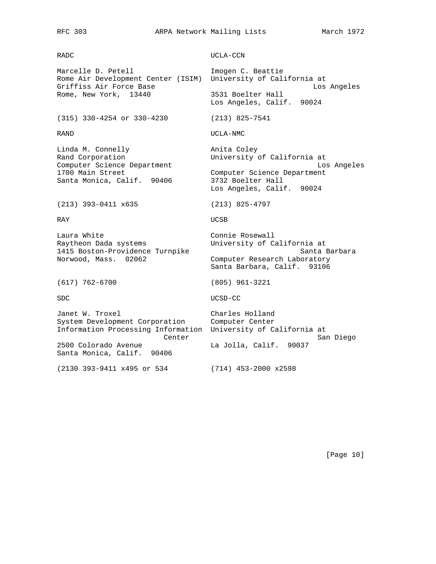## RFC 303 ARPA Network Mailing Lists March 1972

RADC UCLA-CCN

Marcelle D. Petell **Imogen C. Beattie** Rome Air Development Center (ISIM) University of California at Griffiss Air Force Base and the Los Angeles Control of Angeles Angeles Angeles Angeles Angeles Angeles Angeles Rome, New York, 13440 3531 Boelter Hall Los Angeles, Calif. 90024 (315) 330-4254 or 330-4230 (213) 825-7541 RAND UCLA-NMC Linda M. Connelly **Anita** Coley Rand Corporation **Example 20** University of California at Computer Science Department Los Angeles 1700 Main Street Computer Science Department<br>
Santa Monica, Calif. 90406 3732 Boelter Hall Santa Monica, Calif. 90406 Los Angeles, Calif. 90024 (213) 393-0411 x635 (213) 825-4797 RAY UCSB Laura White Connie Rosewall Raytheon Dada systems University of California at 1415 Boston-Providence Turnpike Santa Barbara Norwood, Mass. 02062 Computer Research Laboratory Santa Barbara, Calif. 93106 (617) 762-6700 (805) 961-3221 SDC UCSD-CC Janet W. Troxel **East Charles Holland** System Development Corporation Computer Center Information Processing Information University of California at Center San Diego 2500 Colorado Avenue La Jolla, Calif. 90037 Santa Monica, Calif. 90406 (2130 393-9411 x495 or 534 (714) 453-2000 x2598

[Page 10]